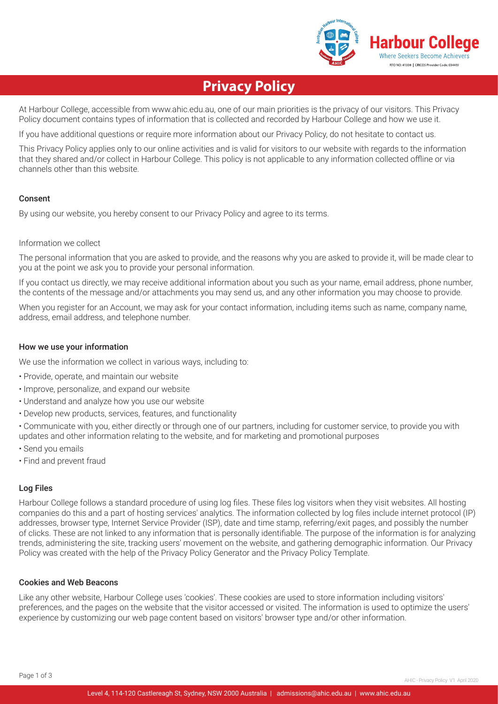

# **Privacy Policy**

At Harbour College, accessible from www.ahic.edu.au, one of our main priorities is the privacy of our visitors. This Privacy Policy document contains types of information that is collected and recorded by Harbour College and how we use it.

If you have additional questions or require more information about our Privacy Policy, do not hesitate to contact us.

This Privacy Policy applies only to our online activities and is valid for visitors to our website with regards to the information that they shared and/or collect in Harbour College. This policy is not applicable to any information collected offline or via channels other than this website.

# Consent

By using our website, you hereby consent to our Privacy Policy and agree to its terms.

## Information we collect

The personal information that you are asked to provide, and the reasons why you are asked to provide it, will be made clear to you at the point we ask you to provide your personal information.

If you contact us directly, we may receive additional information about you such as your name, email address, phone number, the contents of the message and/or attachments you may send us, and any other information you may choose to provide.

When you register for an Account, we may ask for your contact information, including items such as name, company name, address, email address, and telephone number.

## How we use your information

We use the information we collect in various ways, including to:

- Provide, operate, and maintain our website
- Improve, personalize, and expand our website
- Understand and analyze how you use our website
- Develop new products, services, features, and functionality

• Communicate with you, either directly or through one of our partners, including for customer service, to provide you with updates and other information relating to the website, and for marketing and promotional purposes

- Send you emails
- Find and prevent fraud

# Log Files

Harbour College follows a standard procedure of using log files. These files log visitors when they visit websites. All hosting companies do this and a part of hosting services' analytics. The information collected by log files include internet protocol (IP) addresses, browser type, Internet Service Provider (ISP), date and time stamp, referring/exit pages, and possibly the number of clicks. These are not linked to any information that is personally identifiable. The purpose of the information is for analyzing trends, administering the site, tracking users' movement on the website, and gathering demographic information. Our Privacy Policy was created with the help of the Privacy Policy Generator and the Privacy Policy Template.

# Cookies and Web Beacons

Like any other website, Harbour College uses 'cookies'. These cookies are used to store information including visitors' preferences, and the pages on the website that the visitor accessed or visited. The information is used to optimize the users' experience by customizing our web page content based on visitors' browser type and/or other information.

Page 1 of 3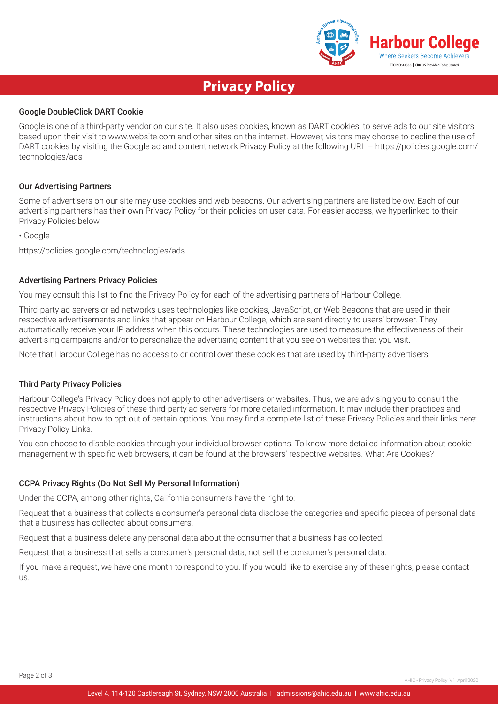

# **Privacy Policy**

# Google DoubleClick DART Cookie

Google is one of a third-party vendor on our site. It also uses cookies, known as DART cookies, to serve ads to our site visitors based upon their visit to www.website.com and other sites on the internet. However, visitors may choose to decline the use of DART cookies by visiting the Google ad and content network Privacy Policy at the following URL – https://policies.google.com/ technologies/ads

#### Our Advertising Partners

Some of advertisers on our site may use cookies and web beacons. Our advertising partners are listed below. Each of our advertising partners has their own Privacy Policy for their policies on user data. For easier access, we hyperlinked to their Privacy Policies below.

• Google

https://policies.google.com/technologies/ads

#### Advertising Partners Privacy Policies

You may consult this list to find the Privacy Policy for each of the advertising partners of Harbour College.

Third-party ad servers or ad networks uses technologies like cookies, JavaScript, or Web Beacons that are used in their respective advertisements and links that appear on Harbour College, which are sent directly to users' browser. They automatically receive your IP address when this occurs. These technologies are used to measure the effectiveness of their advertising campaigns and/or to personalize the advertising content that you see on websites that you visit.

Note that Harbour College has no access to or control over these cookies that are used by third-party advertisers.

#### Third Party Privacy Policies

Harbour College's Privacy Policy does not apply to other advertisers or websites. Thus, we are advising you to consult the respective Privacy Policies of these third-party ad servers for more detailed information. It may include their practices and instructions about how to opt-out of certain options. You may find a complete list of these Privacy Policies and their links here: Privacy Policy Links.

You can choose to disable cookies through your individual browser options. To know more detailed information about cookie management with specific web browsers, it can be found at the browsers' respective websites. What Are Cookies?

#### CCPA Privacy Rights (Do Not Sell My Personal Information)

Under the CCPA, among other rights, California consumers have the right to:

Request that a business that collects a consumer's personal data disclose the categories and specific pieces of personal data that a business has collected about consumers.

Request that a business delete any personal data about the consumer that a business has collected.

Request that a business that sells a consumer's personal data, not sell the consumer's personal data.

If you make a request, we have one month to respond to you. If you would like to exercise any of these rights, please contact us.